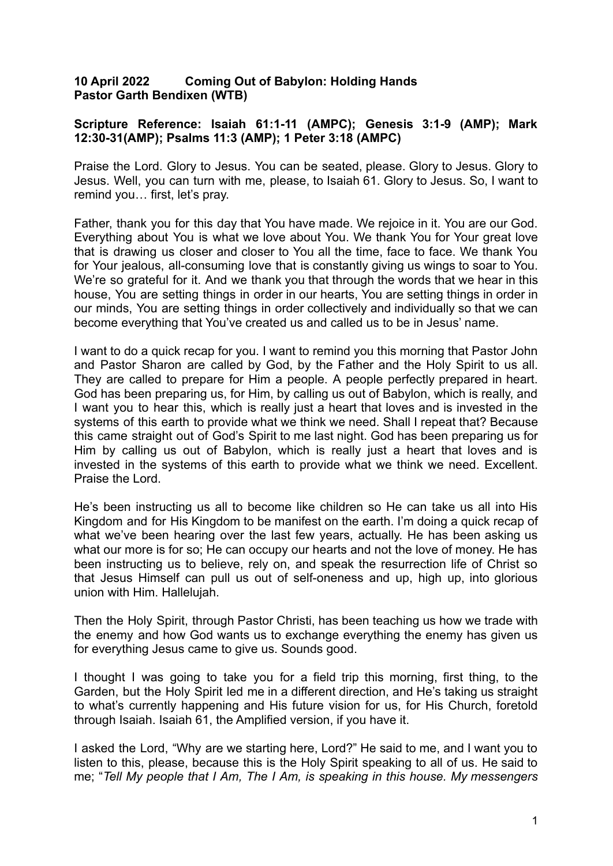## **10 April 2022 Coming Out of Babylon: Holding Hands Pastor Garth Bendixen (WTB)**

## **Scripture Reference: Isaiah 61:1-11 (AMPC); Genesis 3:1-9 (AMP); Mark 12:30-31(AMP); Psalms 11:3 (AMP); 1 Peter 3:18 (AMPC)**

Praise the Lord. Glory to Jesus. You can be seated, please. Glory to Jesus. Glory to Jesus. Well, you can turn with me, please, to Isaiah 61. Glory to Jesus. So, I want to remind you… first, let's pray.

Father, thank you for this day that You have made. We rejoice in it. You are our God. Everything about You is what we love about You. We thank You for Your great love that is drawing us closer and closer to You all the time, face to face. We thank You for Your jealous, all-consuming love that is constantly giving us wings to soar to You. We're so grateful for it. And we thank you that through the words that we hear in this house, You are setting things in order in our hearts, You are setting things in order in our minds, You are setting things in order collectively and individually so that we can become everything that You've created us and called us to be in Jesus' name.

I want to do a quick recap for you. I want to remind you this morning that Pastor John and Pastor Sharon are called by God, by the Father and the Holy Spirit to us all. They are called to prepare for Him a people. A people perfectly prepared in heart. God has been preparing us, for Him, by calling us out of Babylon, which is really, and I want you to hear this, which is really just a heart that loves and is invested in the systems of this earth to provide what we think we need. Shall I repeat that? Because this came straight out of God's Spirit to me last night. God has been preparing us for Him by calling us out of Babylon, which is really just a heart that loves and is invested in the systems of this earth to provide what we think we need. Excellent. Praise the Lord.

He's been instructing us all to become like children so He can take us all into His Kingdom and for His Kingdom to be manifest on the earth. I'm doing a quick recap of what we've been hearing over the last few years, actually. He has been asking us what our more is for so; He can occupy our hearts and not the love of money. He has been instructing us to believe, rely on, and speak the resurrection life of Christ so that Jesus Himself can pull us out of self-oneness and up, high up, into glorious union with Him. Hallelujah.

Then the Holy Spirit, through Pastor Christi, has been teaching us how we trade with the enemy and how God wants us to exchange everything the enemy has given us for everything Jesus came to give us. Sounds good.

I thought I was going to take you for a field trip this morning, first thing, to the Garden, but the Holy Spirit led me in a different direction, and He's taking us straight to what's currently happening and His future vision for us, for His Church, foretold through Isaiah. Isaiah 61, the Amplified version, if you have it.

I asked the Lord, "Why are we starting here, Lord?" He said to me, and I want you to listen to this, please, because this is the Holy Spirit speaking to all of us. He said to me; "*Tell My people that I Am, The I Am, is speaking in this house. My messengers*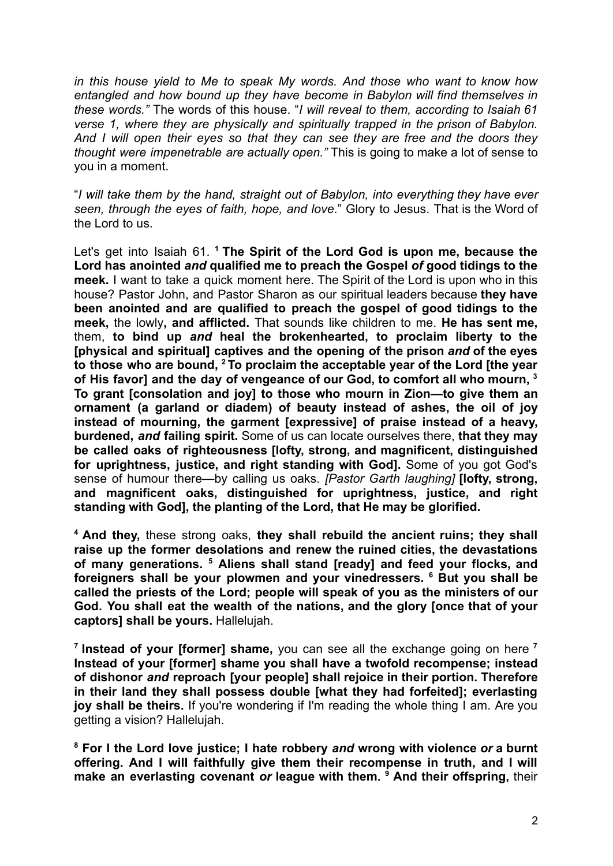*in this house yield to Me to speak My words. And those who want to know how entangled and how bound up they have become in Babylon will find themselves in these words."* The words of this house. "*I will reveal to them, according to Isaiah 61 verse 1, where they are physically and spiritually trapped in the prison of Babylon. And I will open their eyes so that they can see they are free and the doors they thought were impenetrable are actually open."* This is going to make a lot of sense to you in a moment.

"*I will take them by the hand, straight out of Babylon, into everything they have ever seen, through the eyes of faith, hope, and love*." Glory to Jesus. That is the Word of the Lord to us.

Let's get into Isaiah 61. **<sup>1</sup> The Spirit of the Lord God is upon me, because the Lord has anointed** *and* **qualified me to preach the Gospel** *of* **good tidings to the meek.** I want to take a quick moment here. The Spirit of the Lord is upon who in this house? Pastor John, and Pastor Sharon as our spiritual leaders because **they have been anointed and are qualified to preach the gospel of good tidings to the meek,** the lowly**, and afflicted.** That sounds like children to me. **He has sent me,** them, **to bind up** *and* **heal the brokenhearted, to proclaim liberty to the [physical and spiritual] captives and the opening of the prison** *and* **of the eyes to those who are bound, <sup>2</sup> To proclaim the acceptable year of the Lord [the year of His favor] and the day of vengeance of our God, to comfort all who mourn, <sup>3</sup> To grant [consolation and joy] to those who mourn in Zion—to give them an ornament (a garland or diadem) of beauty instead of ashes, the oil of joy instead of mourning, the garment [expressive] of praise instead of a heavy, burdened,** *and* **failing spirit.** Some of us can locate ourselves there, **that they may be called oaks of righteousness [lofty, strong, and magnificent, distinguished for uprightness, justice, and right standing with God].** Some of you got God's sense of humour there—by calling us oaks. *[Pastor Garth laughing]* **[lofty, strong, and magnificent oaks, distinguished for uprightness, justice, and right standing with God], the planting of the Lord, that He may be glorified.**

**<sup>4</sup> And they,** these strong oaks, **they shall rebuild the ancient ruins; they shall raise up the former desolations and renew the ruined cities, the devastations of many generations. <sup>5</sup> Aliens shall stand [ready] and feed your flocks, and foreigners shall be your plowmen and your vinedressers. <sup>6</sup> But you shall be called the priests of the Lord; people will speak of you as the ministers of our God. You shall eat the wealth of the nations, and the glory [once that of your captors] shall be yours.** Hallelujah.

**7 Instead of your [former] shame,** you can see all the exchange going on here **<sup>7</sup> Instead of your [former] shame you shall have a twofold recompense; instead of dishonor** *and* **reproach [your people] shall rejoice in their portion. Therefore in their land they shall possess double [what they had forfeited]; everlasting joy shall be theirs.** If you're wondering if I'm reading the whole thing I am. Are you getting a vision? Hallelujah.

**<sup>8</sup> For I the Lord love justice; I hate robbery** *and* **wrong with violence** *or* **a burnt offering. And I will faithfully give them their recompense in truth, and I will make an everlasting covenant** *or* **league with them. <sup>9</sup> And their offspring,** their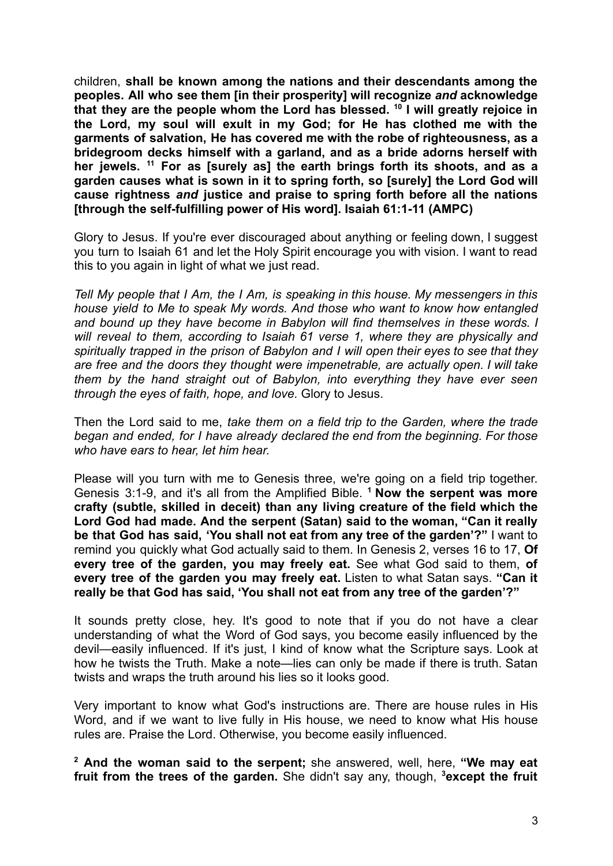children, **shall be known among the nations and their descendants among the peoples. All who see them [in their prosperity] will recognize** *and* **acknowledge that they are the people whom the Lord has blessed. <sup>10</sup> I will greatly rejoice in the Lord, my soul will exult in my God; for He has clothed me with the garments of salvation, He has covered me with the robe of righteousness, as a bridegroom decks himself with a garland, and as a bride adorns herself with her jewels. <sup>11</sup> For as [surely as] the earth brings forth its shoots, and as a garden causes what is sown in it to spring forth, so [surely] the Lord God will cause rightness** *and* **justice and praise to spring forth before all the nations [through the self-fulfilling power of His word]. Isaiah 61:1-11 (AMPC)**

Glory to Jesus. If you're ever discouraged about anything or feeling down, I suggest you turn to Isaiah 61 and let the Holy Spirit encourage you with vision. I want to read this to you again in light of what we just read.

*Tell My people that I Am, the I Am, is speaking in this house. My messengers in this house yield to Me to speak My words. And those who want to know how entangled and bound up they have become in Babylon will find themselves in these words. I will reveal to them, according to Isaiah 61 verse 1, where they are physically and spiritually trapped in the prison of Babylon and I will open their eyes to see that they are free and the doors they thought were impenetrable, are actually open. I will take them by the hand straight out of Babylon, into everything they have ever seen through the eyes of faith, hope, and love.* Glory to Jesus.

Then the Lord said to me, *take them on a field trip to the Garden, where the trade began and ended, for I have already declared the end from the beginning. For those who have ears to hear, let him hear.*

Please will you turn with me to Genesis three, we're going on a field trip together. Genesis 3:1-9, and it's all from the Amplified Bible. **<sup>1</sup> Now the serpent was more crafty (subtle, skilled in deceit) than any living creature of the field which the Lord God had made. And the serpent (Satan) said to the woman, "Can it really be that God has said, 'You shall not eat from any tree of the garden'?"** I want to remind you quickly what God actually said to them. In Genesis 2, verses 16 to 17, **Of every tree of the garden, you may freely eat.** See what God said to them, **of every tree of the garden you may freely eat.** Listen to what Satan says. **"Can it really be that God has said, 'You shall not eat from any tree of the garden'?"**

It sounds pretty close, hey. It's good to note that if you do not have a clear understanding of what the Word of God says, you become easily influenced by the devil—easily influenced. If it's just, I kind of know what the Scripture says. Look at how he twists the Truth. Make a note—lies can only be made if there is truth. Satan twists and wraps the truth around his lies so it looks good.

Very important to know what God's instructions are. There are house rules in His Word, and if we want to live fully in His house, we need to know what His house rules are. Praise the Lord. Otherwise, you become easily influenced.

**<sup>2</sup> And the woman said to the serpent;** she answered, well, here, **"We may eat fruit from the trees of the garden.** She didn't say any, though, **<sup>3</sup>except the fruit**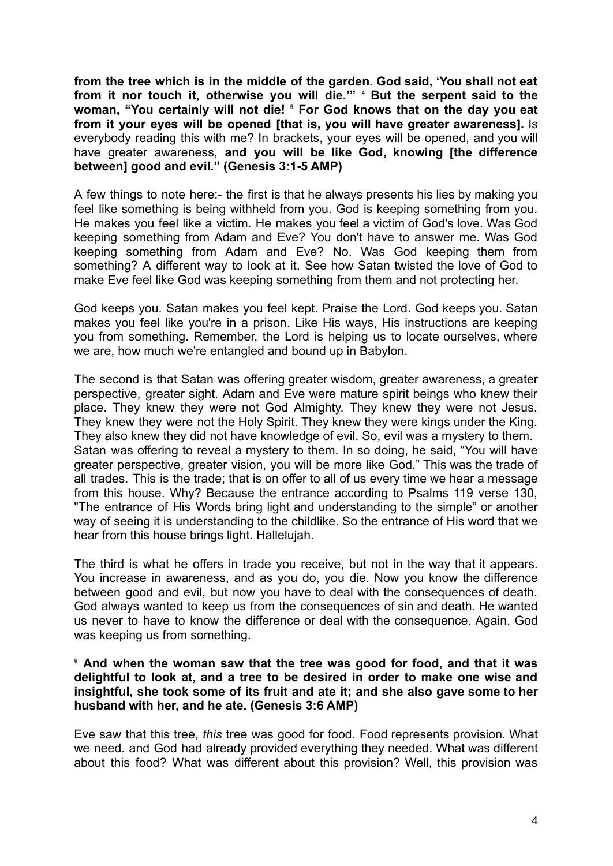**from the tree which is in the middle of the garden. God said, 'You shall not eat from it nor touch it, otherwise you will die.'"** ⁴ **But the serpent said to the woman, "You certainly will not die!** ⁵ **For God knows that on the day you eat from it your eyes will be opened [that is, you will have greater awareness].** Is everybody reading this with me? In brackets, your eyes will be opened, and you will have greater awareness, **and you will be like God, knowing [the difference between] good and evil." (Genesis 3:1-5 AMP)**

A few things to note here:- the first is that he always presents his lies by making you feel like something is being withheld from you. God is keeping something from you. He makes you feel like a victim. He makes you feel a victim of God's love. Was God keeping something from Adam and Eve? You don't have to answer me. Was God keeping something from Adam and Eve? No. Was God keeping them from something? A different way to look at it. See how Satan twisted the love of God to make Eve feel like God was keeping something from them and not protecting her.

God keeps you. Satan makes you feel kept. Praise the Lord. God keeps you. Satan makes you feel like you're in a prison. Like His ways, His instructions are keeping you from something. Remember, the Lord is helping us to locate ourselves, where we are, how much we're entangled and bound up in Babylon.

The second is that Satan was offering greater wisdom, greater awareness, a greater perspective, greater sight. Adam and Eve were mature spirit beings who knew their place. They knew they were not God Almighty. They knew they were not Jesus. They knew they were not the Holy Spirit. They knew they were kings under the King. They also knew they did not have knowledge of evil. So, evil was a mystery to them. Satan was offering to reveal a mystery to them. In so doing, he said, "You will have greater perspective, greater vision, you will be more like God." This was the trade of all trades. This is the trade; that is on offer to all of us every time we hear a message from this house. Why? Because the entrance according to Psalms 119 verse 130, "The entrance of His Words bring light and understanding to the simple" or another way of seeing it is understanding to the childlike. So the entrance of His word that we hear from this house brings light. Hallelujah.

The third is what he offers in trade you receive, but not in the way that it appears. You increase in awareness, and as you do, you die. Now you know the difference between good and evil, but now you have to deal with the consequences of death. God always wanted to keep us from the consequences of sin and death. He wanted us never to have to know the difference or deal with the consequence. Again, God was keeping us from something.

## ⁶ **And when the woman saw that the tree was good for food, and that it was delightful to look at, and a tree to be desired in order to make one wise and insightful, she took some of its fruit and ate it; and she also gave some to her husband with her, and he ate. (Genesis 3:6 AMP)**

Eve saw that this tree, *this* tree was good for food. Food represents provision. What we need. and God had already provided everything they needed. What was different about this food? What was different about this provision? Well, this provision was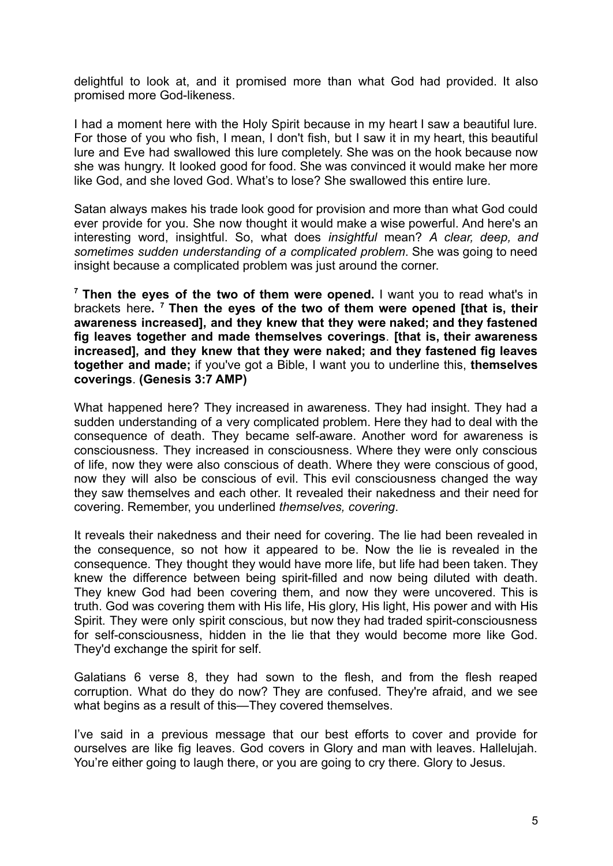delightful to look at, and it promised more than what God had provided. It also promised more God-likeness.

I had a moment here with the Holy Spirit because in my heart I saw a beautiful lure. For those of you who fish, I mean, I don't fish, but I saw it in my heart, this beautiful lure and Eve had swallowed this lure completely. She was on the hook because now she was hungry. It looked good for food. She was convinced it would make her more like God, and she loved God. What's to lose? She swallowed this entire lure.

Satan always makes his trade look good for provision and more than what God could ever provide for you. She now thought it would make a wise powerful. And here's an interesting word, insightful. So, what does *insightful* mean? *A clear, deep, and sometimes sudden understanding of a complicated problem*. She was going to need insight because a complicated problem was just around the corner.

**<sup>7</sup> Then the eyes of the two of them were opened.** I want you to read what's in brackets here**. <sup>7</sup> Then the eyes of the two of them were opened [that is, their awareness increased], and they knew that they were naked; and they fastened fig leaves together and made themselves coverings**. **[that is, their awareness increased], and they knew that they were naked; and they fastened fig leaves together and made;** if you've got a Bible, I want you to underline this, **themselves coverings**. **(Genesis 3:7 AMP)**

What happened here? They increased in awareness. They had insight. They had a sudden understanding of a very complicated problem. Here they had to deal with the consequence of death. They became self-aware. Another word for awareness is consciousness. They increased in consciousness. Where they were only conscious of life, now they were also conscious of death. Where they were conscious of good, now they will also be conscious of evil. This evil consciousness changed the way they saw themselves and each other. It revealed their nakedness and their need for covering. Remember, you underlined *themselves, covering*.

It reveals their nakedness and their need for covering. The lie had been revealed in the consequence, so not how it appeared to be. Now the lie is revealed in the consequence. They thought they would have more life, but life had been taken. They knew the difference between being spirit-filled and now being diluted with death. They knew God had been covering them, and now they were uncovered. This is truth. God was covering them with His life, His glory, His light, His power and with His Spirit. They were only spirit conscious, but now they had traded spirit-consciousness for self-consciousness, hidden in the lie that they would become more like God. They'd exchange the spirit for self.

Galatians 6 verse 8, they had sown to the flesh, and from the flesh reaped corruption. What do they do now? They are confused. They're afraid, and we see what begins as a result of this—They covered themselves.

I've said in a previous message that our best efforts to cover and provide for ourselves are like fig leaves. God covers in Glory and man with leaves. Hallelujah. You're either going to laugh there, or you are going to cry there. Glory to Jesus.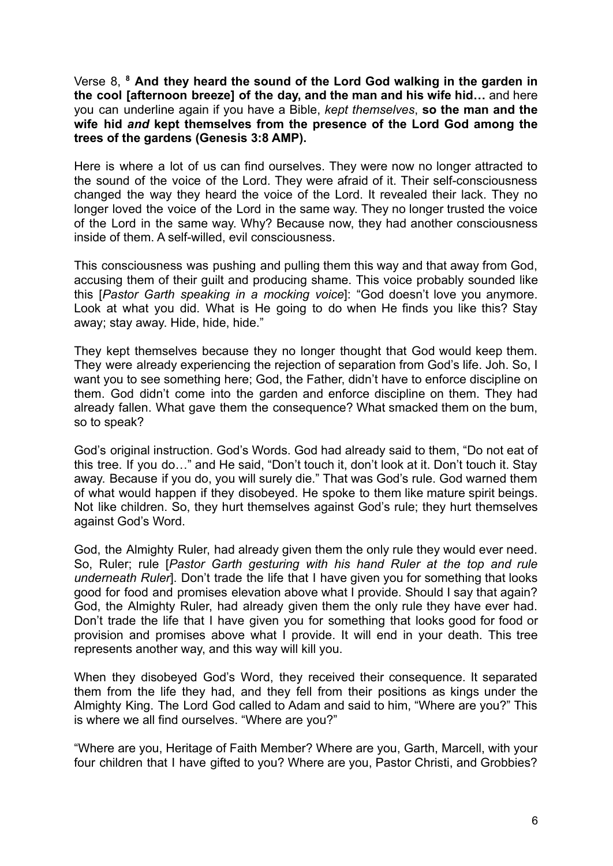Verse 8, **<sup>8</sup> And they heard the sound of the Lord God walking in the garden in the cool [afternoon breeze] of the day, and the man and his wife hid…** and here you can underline again if you have a Bible, *kept themselves*, **so the man and the wife hid** *and* **kept themselves from the presence of the Lord God among the trees of the gardens (Genesis 3:8 AMP).**

Here is where a lot of us can find ourselves. They were now no longer attracted to the sound of the voice of the Lord. They were afraid of it. Their self-consciousness changed the way they heard the voice of the Lord. It revealed their lack. They no longer loved the voice of the Lord in the same way. They no longer trusted the voice of the Lord in the same way. Why? Because now, they had another consciousness inside of them. A self-willed, evil consciousness.

This consciousness was pushing and pulling them this way and that away from God, accusing them of their guilt and producing shame. This voice probably sounded like this [*Pastor Garth speaking in a mocking voice*]: "God doesn't love you anymore. Look at what you did. What is He going to do when He finds you like this? Stay away; stay away. Hide, hide, hide."

They kept themselves because they no longer thought that God would keep them. They were already experiencing the rejection of separation from God's life. Joh. So, I want you to see something here; God, the Father, didn't have to enforce discipline on them. God didn't come into the garden and enforce discipline on them. They had already fallen. What gave them the consequence? What smacked them on the bum, so to speak?

God's original instruction. God's Words. God had already said to them, "Do not eat of this tree. If you do…" and He said, "Don't touch it, don't look at it. Don't touch it. Stay away. Because if you do, you will surely die." That was God's rule. God warned them of what would happen if they disobeyed. He spoke to them like mature spirit beings. Not like children. So, they hurt themselves against God's rule; they hurt themselves against God's Word.

God, the Almighty Ruler, had already given them the only rule they would ever need. So, Ruler; rule [*Pastor Garth gesturing with his hand Ruler at the top and rule underneath Ruler*]. Don't trade the life that I have given you for something that looks good for food and promises elevation above what I provide. Should I say that again? God, the Almighty Ruler, had already given them the only rule they have ever had. Don't trade the life that I have given you for something that looks good for food or provision and promises above what I provide. It will end in your death. This tree represents another way, and this way will kill you.

When they disobeyed God's Word, they received their consequence. It separated them from the life they had, and they fell from their positions as kings under the Almighty King. The Lord God called to Adam and said to him, "Where are you?" This is where we all find ourselves. "Where are you?"

"Where are you, Heritage of Faith Member? Where are you, Garth, Marcell, with your four children that I have gifted to you? Where are you, Pastor Christi, and Grobbies?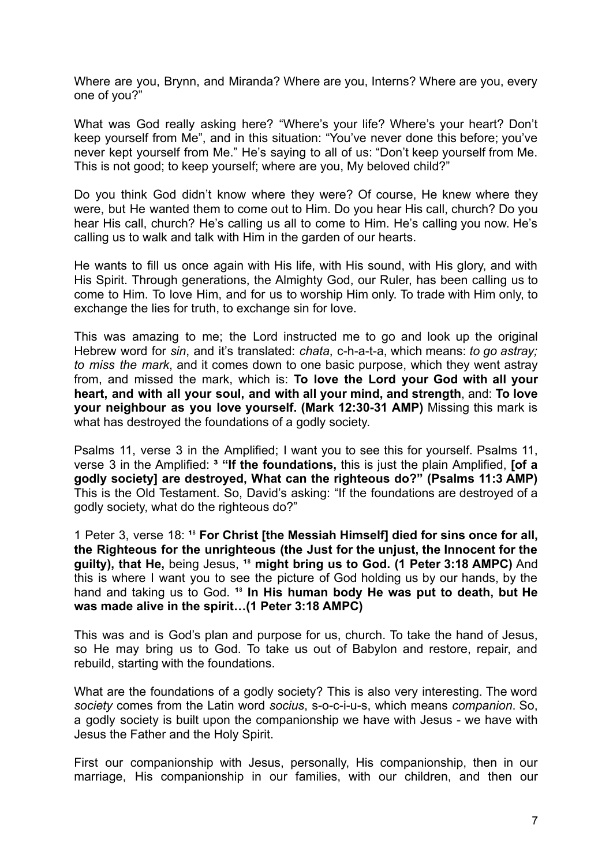Where are you, Brynn, and Miranda? Where are you, Interns? Where are you, every one of you?"

What was God really asking here? "Where's your life? Where's your heart? Don't keep yourself from Me", and in this situation: "You've never done this before; you've never kept yourself from Me." He's saying to all of us: "Don't keep yourself from Me. This is not good; to keep yourself; where are you, My beloved child?"

Do you think God didn't know where they were? Of course, He knew where they were, but He wanted them to come out to Him. Do you hear His call, church? Do you hear His call, church? He's calling us all to come to Him. He's calling you now. He's calling us to walk and talk with Him in the garden of our hearts.

He wants to fill us once again with His life, with His sound, with His glory, and with His Spirit. Through generations, the Almighty God, our Ruler, has been calling us to come to Him. To love Him, and for us to worship Him only. To trade with Him only, to exchange the lies for truth, to exchange sin for love.

This was amazing to me; the Lord instructed me to go and look up the original Hebrew word for *sin*, and it's translated: *chata*, c-h-a-t-a, which means: *to go astray; to miss the mark*, and it comes down to one basic purpose, which they went astray from, and missed the mark, which is: **To love the Lord your God with all your heart, and with all your soul, and with all your mind, and strength**, and: **To love your neighbour as you love yourself. (Mark 12:30-31 AMP)** Missing this mark is what has destroyed the foundations of a godly society.

Psalms 11, verse 3 in the Amplified; I want you to see this for yourself. Psalms 11, verse 3 in the Amplified: **³ "If the foundations,** this is just the plain Amplified, **[of a godly society] are destroyed, What can the righteous do?" (Psalms 11:3 AMP)** This is the Old Testament. So, David's asking: "If the foundations are destroyed of a godly society, what do the righteous do?"

1 Peter 3, verse 18: **¹**⁸ **For Christ [the Messiah Himself] died for sins once for all, the Righteous for the unrighteous (the Just for the unjust, the Innocent for the guilty), that He,** being Jesus, <sup>18</sup> might bring us to God. (1 Peter 3:18 AMPC) And this is where I want you to see the picture of God holding us by our hands, by the hand and taking us to God. **¹**⁸ **In His human body He was put to death, but He was made alive in the spirit…(1 Peter 3:18 AMPC)**

This was and is God's plan and purpose for us, church. To take the hand of Jesus, so He may bring us to God. To take us out of Babylon and restore, repair, and rebuild, starting with the foundations.

What are the foundations of a godly society? This is also very interesting. The word *society* comes from the Latin word *socius*, s-o-c-i-u-s, which means *companion*. So, a godly society is built upon the companionship we have with Jesus - we have with Jesus the Father and the Holy Spirit.

First our companionship with Jesus, personally, His companionship, then in our marriage, His companionship in our families, with our children, and then our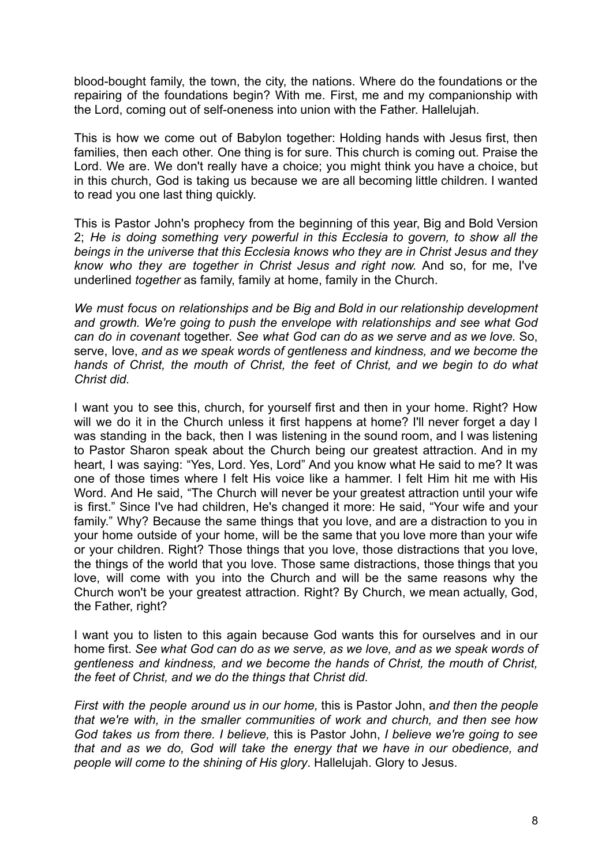blood-bought family, the town, the city, the nations. Where do the foundations or the repairing of the foundations begin? With me. First, me and my companionship with the Lord, coming out of self-oneness into union with the Father. Hallelujah.

This is how we come out of Babylon together: Holding hands with Jesus first, then families, then each other. One thing is for sure. This church is coming out. Praise the Lord. We are. We don't really have a choice; you might think you have a choice, but in this church, God is taking us because we are all becoming little children. I wanted to read you one last thing quickly.

This is Pastor John's prophecy from the beginning of this year, Big and Bold Version 2; *He is doing something very powerful in this Ecclesia to govern, to show all the beings in the universe that this Ecclesia knows who they are in Christ Jesus and they know who they are together in Christ Jesus and right now.* And so, for me, I've underlined *together* as family, family at home, family in the Church.

*We must focus on relationships and be Big and Bold in our relationship development and growth. We're going to push the envelope with relationships and see what God can do in covenant* together. *See what God can do as we serve and as we love.* So, serve, love, *and as we speak words of gentleness and kindness, and we become the hands of Christ, the mouth of Christ, the feet of Christ, and we begin to do what Christ did.*

I want you to see this, church, for yourself first and then in your home. Right? How will we do it in the Church unless it first happens at home? I'll never forget a day I was standing in the back, then I was listening in the sound room, and I was listening to Pastor Sharon speak about the Church being our greatest attraction. And in my heart, I was saying: "Yes, Lord. Yes, Lord" And you know what He said to me? It was one of those times where I felt His voice like a hammer. I felt Him hit me with His Word. And He said, "The Church will never be your greatest attraction until your wife is first." Since I've had children, He's changed it more: He said, "Your wife and your family." Why? Because the same things that you love, and are a distraction to you in your home outside of your home, will be the same that you love more than your wife or your children. Right? Those things that you love, those distractions that you love, the things of the world that you love. Those same distractions, those things that you love, will come with you into the Church and will be the same reasons why the Church won't be your greatest attraction. Right? By Church, we mean actually, God, the Father, right?

I want you to listen to this again because God wants this for ourselves and in our home first. *See what God can do as we serve, as we love, and as we speak words of gentleness and kindness, and we become the hands of Christ, the mouth of Christ, the feet of Christ, and we do the things that Christ did.*

*First with the people around us in our home,* this is Pastor John, a*nd then the people that we're with, in the smaller communities of work and church, and then see how God takes us from there. I believe,* this is Pastor John, *I believe we're going to see that and as we do, God will take the energy that we have in our obedience, and people will come to the shining of His glory*. Hallelujah. Glory to Jesus.